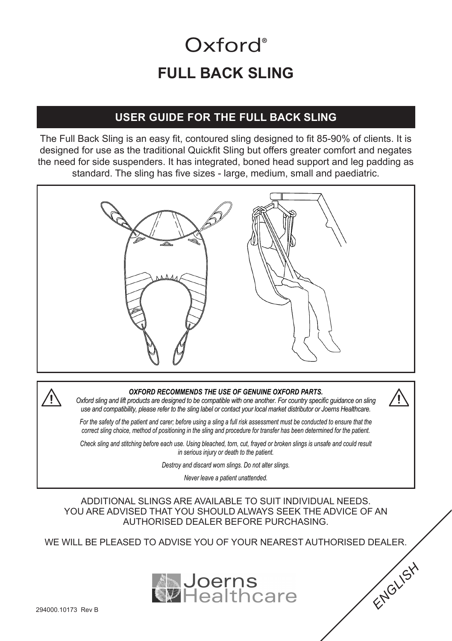# **FULL BACK SLING** Oxford<sup>®</sup>

### **USER GUIDE FOR THE FULL BACK SLING**

The Full Back Sling is an easy fit, contoured sling designed to fit 85-90% of clients. It is designed for use as the traditional Quickfit Sling but offers greater comfort and negates the need for side suspenders. It has integrated, boned head support and leg padding as standard. The sling has five sizes - large, medium, small and paediatric.





#### *OXFORD RECOMMENDS THE USE OF GENUINE OXFORD PARTS.*

*Oxford sling and lift products are designed to be compatible with one another. For country specific guidance on sling use and compatibility, please refer to the sling label or contact your local market distributor or Joerns Healthcare.*

*For the safety of the patient and carer; before using a sling a full risk assessment must be conducted to ensure that the correct sling choice, method of positioning in the sling and procedure for transfer has been determined for the patient.*

*Check sling and stitching before each use. Using bleached, torn, cut, frayed or broken slings is unsafe and could result in serious injury or death to the patient.*

*Destroy and discard worn slings. Do not alter slings.*

*Never leave a patient unattended.*

ADDITIONAL SLINGS ARE AVAILABLE TO SUIT INDIVIDUAL NEEDS. YOU ARE ADVISED THAT YOU SHOULD ALWAYS SEEK THE ADVICE OF AN AUTHORISED DEALER BEFORE PURCHASING.

WE WILL BE PLEASED TO ADVISE YOU OF YOUR NEAREST AUTHORISED DEALER.



*ENGLISH*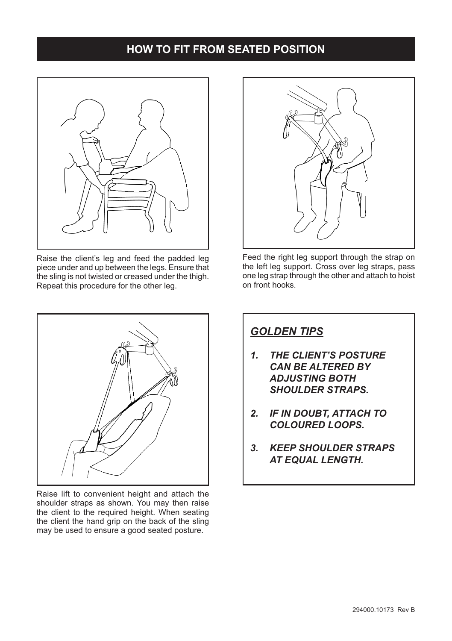#### **HOW TO FIT FROM SEATED POSITION**



Raise the client's leg and feed the padded leg piece under and up between the legs. Ensure that the sling is not twisted or creased under the thigh. Repeat this procedure for the other leg.



Raise lift to convenient height and attach the shoulder straps as shown. You may then raise the client to the required height. When seating the client the hand grip on the back of the sling may be used to ensure a good seated posture.



Feed the right leg support through the strap on the left leg support. Cross over leg straps, pass one leg strap through the other and attach to hoist on front hooks.

## *GOLDEN TIPS*

- *1. THE CLIENT'S POSTURE CAN BE ALTERED BY ADJUSTING BOTH*  **SHOULDER STRAPS.**
- *2. IF IN DOUBT, ATTACH TO COLOURED LOOPS.*
- *3. KEEP SHOULDER STRAPS AT EQUAL LENGTH.*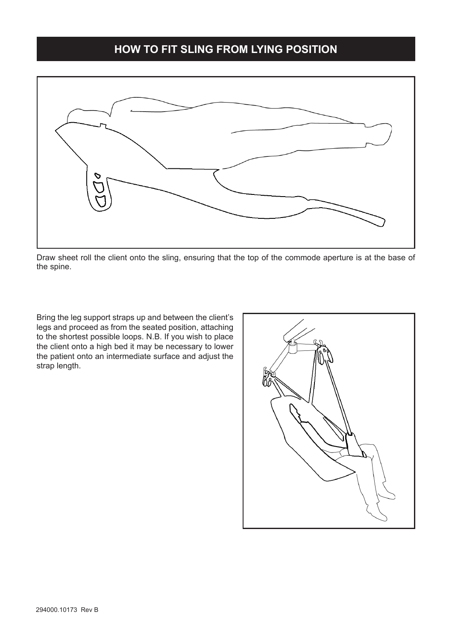#### **HOW TO FIT SLING FROM LYING POSITION**



Draw sheet roll the client onto the sling, ensuring that the top of the commode aperture is at the base of the spine.

Bring the leg support straps up and between the client's legs and proceed as from the seated position, attaching to the shortest possible loops. N.B. If you wish to place the client onto a high bed it may be necessary to lower the patient onto an intermediate surface and adjust the strap length.